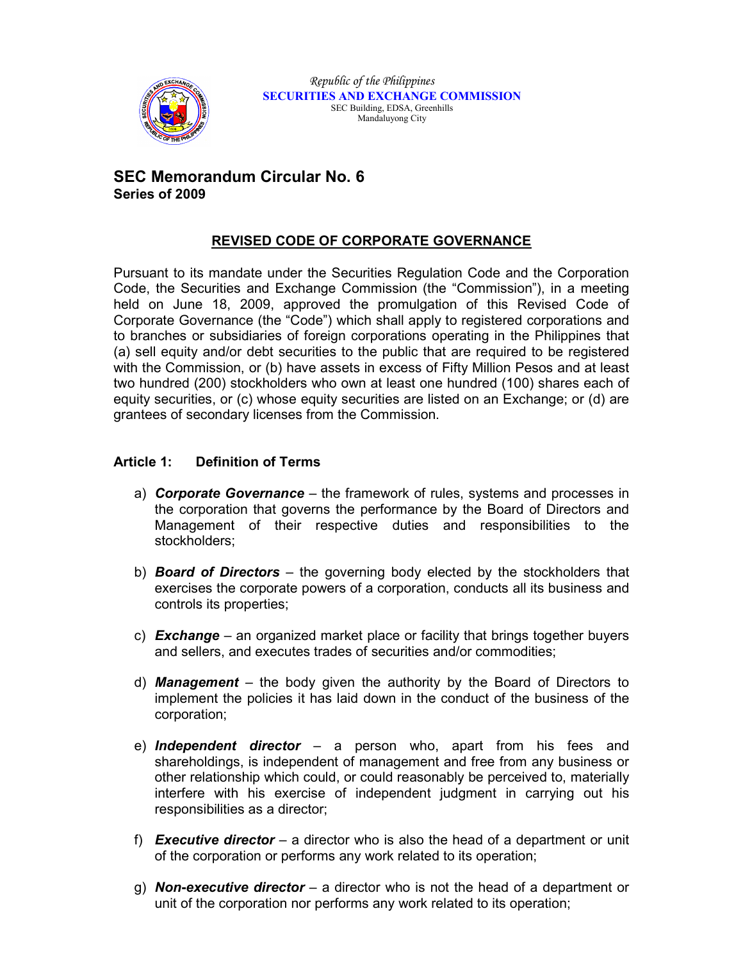

# **SEC Memorandum Circular No. 6 Series of 2009**

# **REVISED CODE OF CORPORATE GOVERNANCE**

Pursuant to its mandate under the Securities Regulation Code and the Corporation Code, the Securities and Exchange Commission (the "Commission"), in a meeting held on June 18, 2009, approved the promulgation of this Revised Code of Corporate Governance (the "Code") which shall apply to registered corporations and to branches or subsidiaries of foreign corporations operating in the Philippines that (a) sell equity and/or debt securities to the public that are required to be registered with the Commission, or (b) have assets in excess of Fifty Million Pesos and at least two hundred (200) stockholders who own at least one hundred (100) shares each of equity securities, or (c) whose equity securities are listed on an Exchange; or (d) are grantees of secondary licenses from the Commission.

## **Article 1: Definition of Terms**

- a) *Corporate Governance*  the framework of rules, systems and processes in the corporation that governs the performance by the Board of Directors and Management of their respective duties and responsibilities to the stockholders;
- b) *Board of Directors* the governing body elected by the stockholders that exercises the corporate powers of a corporation, conducts all its business and controls its properties;
- c) *Exchange*  an organized market place or facility that brings together buyers and sellers, and executes trades of securities and/or commodities;
- d) *Management*  the body given the authority by the Board of Directors to implement the policies it has laid down in the conduct of the business of the corporation;
- e) *Independent director*  a person who, apart from his fees and shareholdings, is independent of management and free from any business or other relationship which could, or could reasonably be perceived to, materially interfere with his exercise of independent judgment in carrying out his responsibilities as a director;
- f) *Executive director* a director who is also the head of a department or unit of the corporation or performs any work related to its operation;
- g) *Non***-***executive director* a director who is not the head of a department or unit of the corporation nor performs any work related to its operation;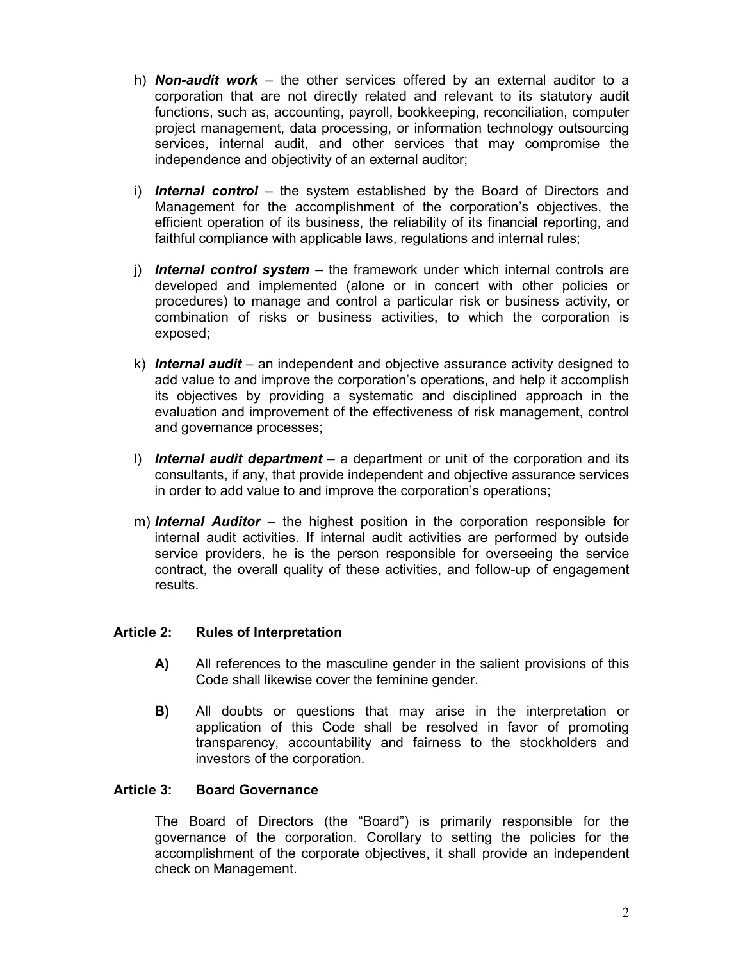- h) *Non-audit work*  the other services offered by an external auditor to a corporation that are not directly related and relevant to its statutory audit functions, such as, accounting, payroll, bookkeeping, reconciliation, computer project management, data processing, or information technology outsourcing services, internal audit, and other services that may compromise the independence and objectivity of an external auditor;
- i) *Internal control* the system established by the Board of Directors and Management for the accomplishment of the corporation's objectives, the efficient operation of its business, the reliability of its financial reporting, and faithful compliance with applicable laws, regulations and internal rules;
- j) *Internal control system* the framework under which internal controls are developed and implemented (alone or in concert with other policies or procedures) to manage and control a particular risk or business activity, or combination of risks or business activities, to which the corporation is exposed;
- k) *Internal audit*  an independent and objective assurance activity designed to add value to and improve the corporation's operations, and help it accomplish its objectives by providing a systematic and disciplined approach in the evaluation and improvement of the effectiveness of risk management, control and governance processes;
- l) *Internal audit department*  a department or unit of the corporation and its consultants, if any, that provide independent and objective assurance services in order to add value to and improve the corporation's operations;
- m) *Internal Auditor*  the highest position in the corporation responsible for internal audit activities. If internal audit activities are performed by outside service providers, he is the person responsible for overseeing the service contract, the overall quality of these activities, and follow-up of engagement results.

#### **Article 2: Rules of Interpretation**

- **A)** All references to the masculine gender in the salient provisions of this Code shall likewise cover the feminine gender.
- **B)** All doubts or questions that may arise in the interpretation or application of this Code shall be resolved in favor of promoting transparency, accountability and fairness to the stockholders and investors of the corporation.

### **Article 3: Board Governance**

The Board of Directors (the "Board") is primarily responsible for the governance of the corporation. Corollary to setting the policies for the accomplishment of the corporate objectives, it shall provide an independent check on Management.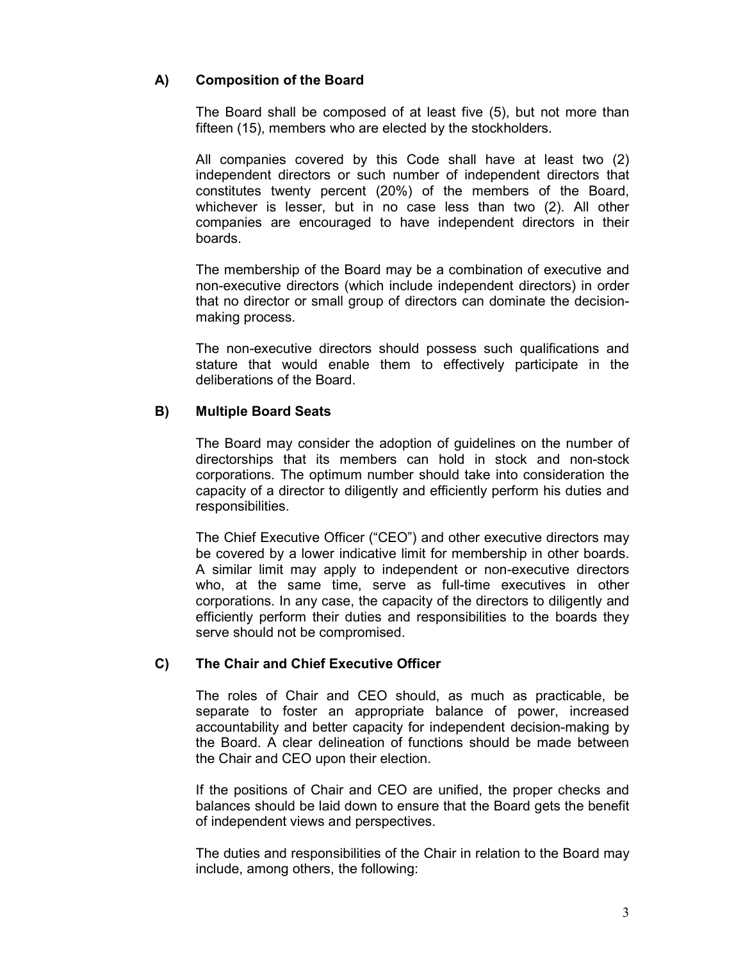## **A) Composition of the Board**

 The Board shall be composed of at least five (5), but not more than fifteen (15), members who are elected by the stockholders.

 All companies covered by this Code shall have at least two (2) independent directors or such number of independent directors that constitutes twenty percent (20%) of the members of the Board, whichever is lesser, but in no case less than two (2). All other companies are encouraged to have independent directors in their boards.

 The membership of the Board may be a combination of executive and non-executive directors (which include independent directors) in order that no director or small group of directors can dominate the decisionmaking process.

 The non-executive directors should possess such qualifications and stature that would enable them to effectively participate in the deliberations of the Board.

### **B) Multiple Board Seats**

The Board may consider the adoption of guidelines on the number of directorships that its members can hold in stock and non-stock corporations. The optimum number should take into consideration the capacity of a director to diligently and efficiently perform his duties and responsibilities.

 The Chief Executive Officer ("CEO") and other executive directors may be covered by a lower indicative limit for membership in other boards. A similar limit may apply to independent or non-executive directors who, at the same time, serve as full-time executives in other corporations. In any case, the capacity of the directors to diligently and efficiently perform their duties and responsibilities to the boards they serve should not be compromised.

### **C) The Chair and Chief Executive Officer**

 The roles of Chair and CEO should, as much as practicable, be separate to foster an appropriate balance of power, increased accountability and better capacity for independent decision-making by the Board. A clear delineation of functions should be made between the Chair and CEO upon their election.

 If the positions of Chair and CEO are unified, the proper checks and balances should be laid down to ensure that the Board gets the benefit of independent views and perspectives.

 The duties and responsibilities of the Chair in relation to the Board may include, among others, the following: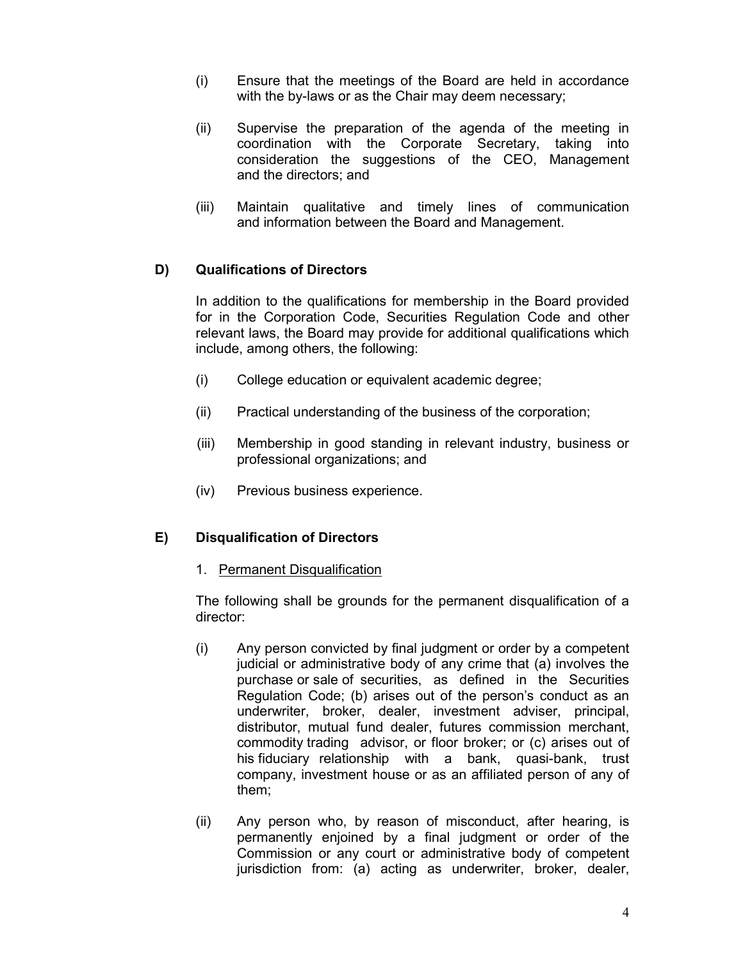- (i) Ensure that the meetings of the Board are held in accordance with the by-laws or as the Chair may deem necessary;
- (ii) Supervise the preparation of the agenda of the meeting in coordination with the Corporate Secretary, taking into consideration the suggestions of the CEO, Management and the directors; and
- (iii) Maintain qualitative and timely lines of communication and information between the Board and Management.

## **D) Qualifications of Directors**

 In addition to the qualifications for membership in the Board provided for in the Corporation Code, Securities Regulation Code and other relevant laws, the Board may provide for additional qualifications which include, among others, the following:

- (i) College education or equivalent academic degree;
- (ii) Practical understanding of the business of the corporation;
- (iii) Membership in good standing in relevant industry, business or professional organizations; and
- (iv) Previous business experience.

## **E) Disqualification of Directors**

1. Permanent Disqualification

 The following shall be grounds for the permanent disqualification of a director:

- (i) Any person convicted by final judgment or order by a competent judicial or administrative body of any crime that (a) involves the purchase or sale of securities, as defined in the Securities Regulation Code; (b) arises out of the person's conduct as an underwriter, broker, dealer, investment adviser, principal, distributor, mutual fund dealer, futures commission merchant, commodity trading advisor, or floor broker; or (c) arises out of his fiduciary relationship with a bank, quasi-bank, trust company, investment house or as an affiliated person of any of them;
- (ii) Any person who, by reason of misconduct, after hearing, is permanently enjoined by a final judgment or order of the Commission or any court or administrative body of competent jurisdiction from: (a) acting as underwriter, broker, dealer,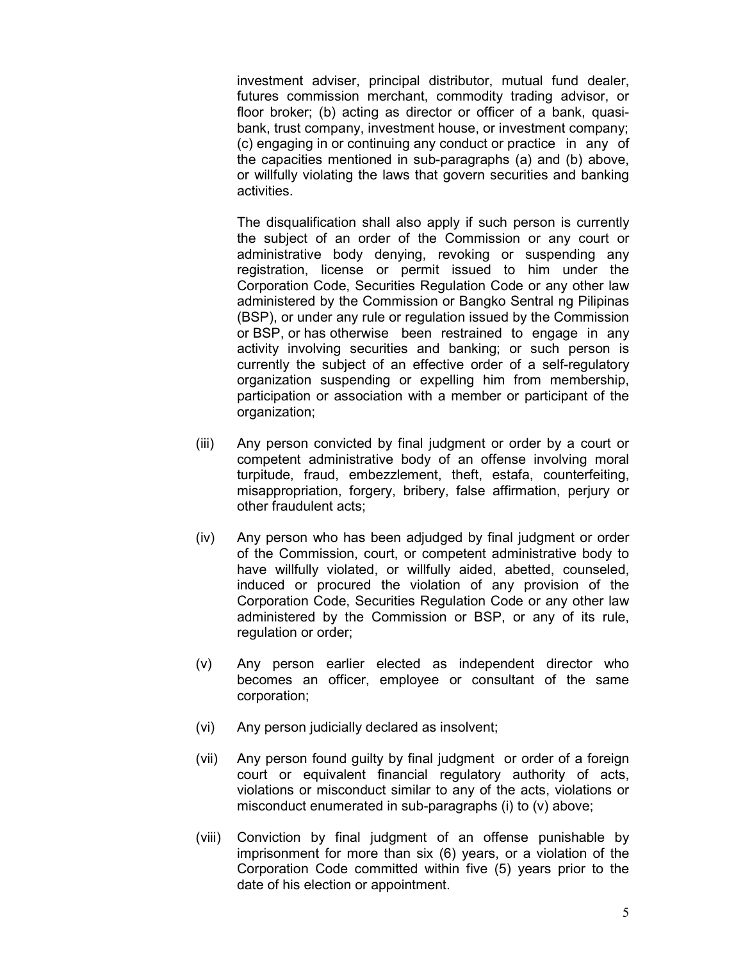investment adviser, principal distributor, mutual fund dealer, futures commission merchant, commodity trading advisor, or floor broker; (b) acting as director or officer of a bank, quasi bank, trust company, investment house, or investment company; (c) engaging in or continuing any conduct or practice in any of the capacities mentioned in sub-paragraphs (a) and (b) above, or willfully violating the laws that govern securities and banking activities.

 The disqualification shall also apply if such person is currently the subject of an order of the Commission or any court or administrative body denying, revoking or suspending any registration, license or permit issued to him under the Corporation Code, Securities Regulation Code or any other law administered by the Commission or Bangko Sentral ng Pilipinas (BSP), or under any rule or regulation issued by the Commission or BSP, or has otherwise been restrained to engage in any activity involving securities and banking; or such person is currently the subject of an effective order of a self-regulatory organization suspending or expelling him from membership, participation or association with a member or participant of the organization;

- (iii) Any person convicted by final judgment or order by a court or competent administrative body of an offense involving moral turpitude, fraud, embezzlement, theft, estafa, counterfeiting, misappropriation, forgery, bribery, false affirmation, perjury or other fraudulent acts;
- (iv) Any person who has been adjudged by final judgment or order of the Commission, court, or competent administrative body to have willfully violated, or willfully aided, abetted, counseled, induced or procured the violation of any provision of the Corporation Code, Securities Regulation Code or any other law administered by the Commission or BSP, or any of its rule, regulation or order;
- (v) Any person earlier elected as independent director who becomes an officer, employee or consultant of the same corporation;
- (vi) Any person judicially declared as insolvent;
- (vii) Any person found guilty by final judgment or order of a foreign court or equivalent financial regulatory authority of acts, violations or misconduct similar to any of the acts, violations or misconduct enumerated in sub-paragraphs (i) to (v) above;
- (viii) Conviction by final judgment of an offense punishable by imprisonment for more than six (6) years, or a violation of the Corporation Code committed within five (5) years prior to the date of his election or appointment.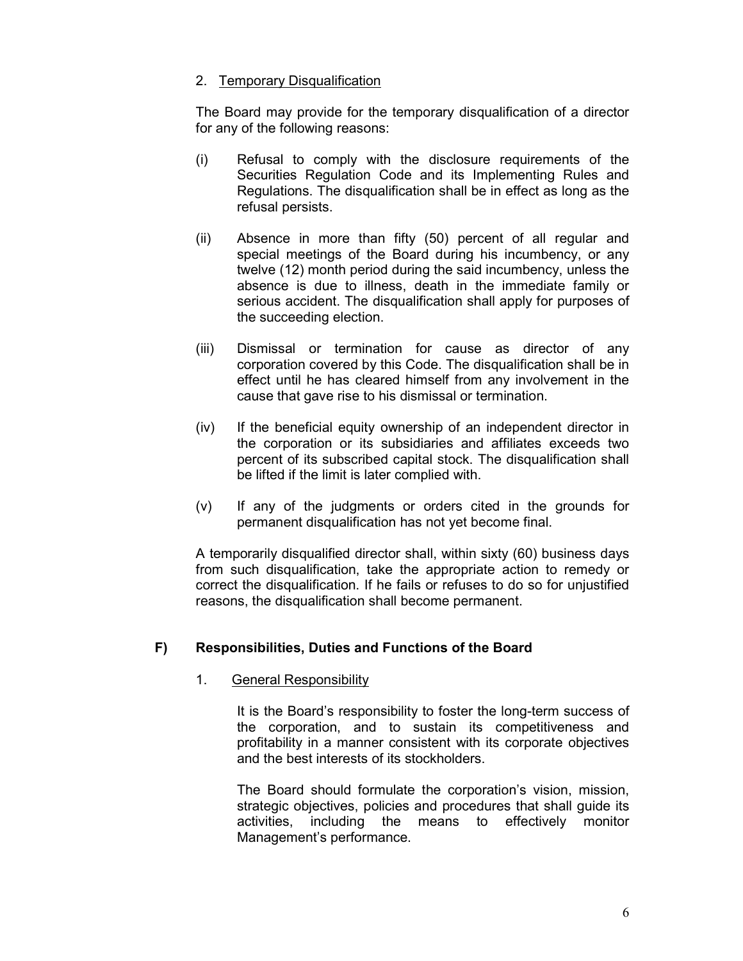## 2. Temporary Disqualification

 The Board may provide for the temporary disqualification of a director for any of the following reasons:

- (i) Refusal to comply with the disclosure requirements of the Securities Regulation Code and its Implementing Rules and Regulations. The disqualification shall be in effect as long as the refusal persists.
- (ii) Absence in more than fifty (50) percent of all regular and special meetings of the Board during his incumbency, or any twelve (12) month period during the said incumbency, unless the absence is due to illness, death in the immediate family or serious accident. The disqualification shall apply for purposes of the succeeding election.
- (iii) Dismissal or termination for cause as director of any corporation covered by this Code. The disqualification shall be in effect until he has cleared himself from any involvement in the cause that gave rise to his dismissal or termination.
- (iv) If the beneficial equity ownership of an independent director in the corporation or its subsidiaries and affiliates exceeds two percent of its subscribed capital stock. The disqualification shall be lifted if the limit is later complied with.
- (v) If any of the judgments or orders cited in the grounds for permanent disqualification has not yet become final.

 A temporarily disqualified director shall, within sixty (60) business days from such disqualification, take the appropriate action to remedy or correct the disqualification. If he fails or refuses to do so for unjustified reasons, the disqualification shall become permanent.

## **F) Responsibilities, Duties and Functions of the Board**

### 1. General Responsibility

It is the Board's responsibility to foster the long-term success of the corporation, and to sustain its competitiveness and profitability in a manner consistent with its corporate objectives and the best interests of its stockholders.

 The Board should formulate the corporation's vision, mission, strategic objectives, policies and procedures that shall guide its activities, including the means to effectively monitor Management's performance.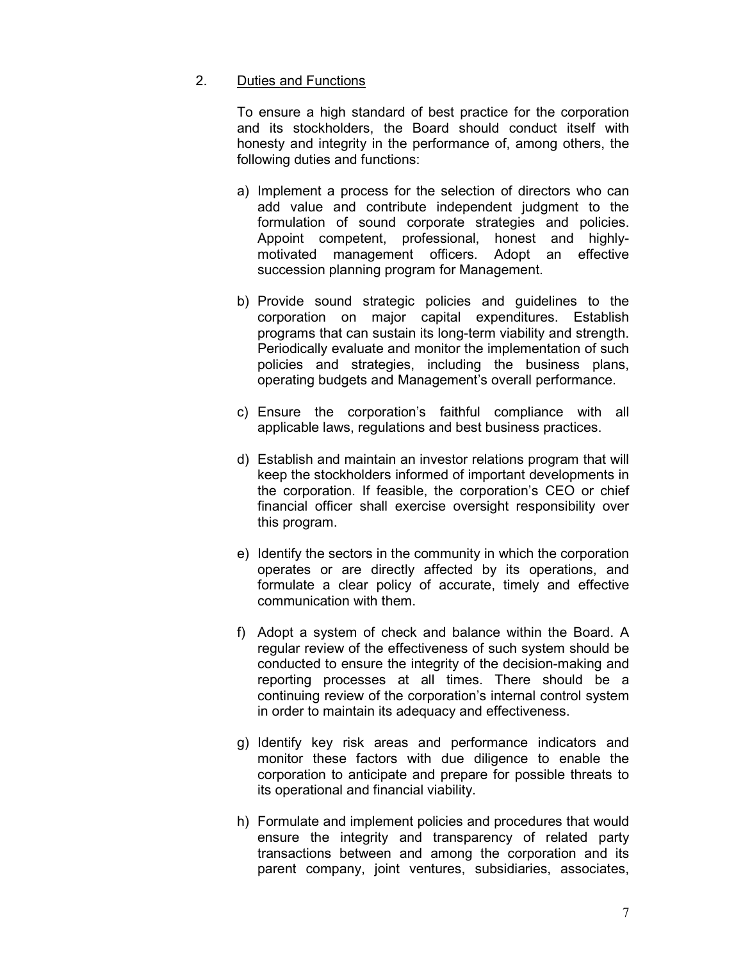#### 2. Duties and Functions

 To ensure a high standard of best practice for the corporation and its stockholders, the Board should conduct itself with honesty and integrity in the performance of, among others, the following duties and functions:

- a) Implement a process for the selection of directors who can add value and contribute independent judgment to the formulation of sound corporate strategies and policies. Appoint competent, professional, honest and highlymotivated management officers. Adopt an effective succession planning program for Management.
- b) Provide sound strategic policies and guidelines to the corporation on major capital expenditures. Establish programs that can sustain its long-term viability and strength. Periodically evaluate and monitor the implementation of such policies and strategies, including the business plans, operating budgets and Management's overall performance.
- c) Ensure the corporation's faithful compliance with all applicable laws, regulations and best business practices.
- d) Establish and maintain an investor relations program that will keep the stockholders informed of important developments in the corporation. If feasible, the corporation's CEO or chief financial officer shall exercise oversight responsibility over this program.
- e) Identify the sectors in the community in which the corporation operates or are directly affected by its operations, and formulate a clear policy of accurate, timely and effective communication with them.
- f) Adopt a system of check and balance within the Board. A regular review of the effectiveness of such system should be conducted to ensure the integrity of the decision-making and reporting processes at all times. There should be a continuing review of the corporation's internal control system in order to maintain its adequacy and effectiveness.
- g) Identify key risk areas and performance indicators and monitor these factors with due diligence to enable the corporation to anticipate and prepare for possible threats to its operational and financial viability.
- h) Formulate and implement policies and procedures that would ensure the integrity and transparency of related party transactions between and among the corporation and its parent company, joint ventures, subsidiaries, associates,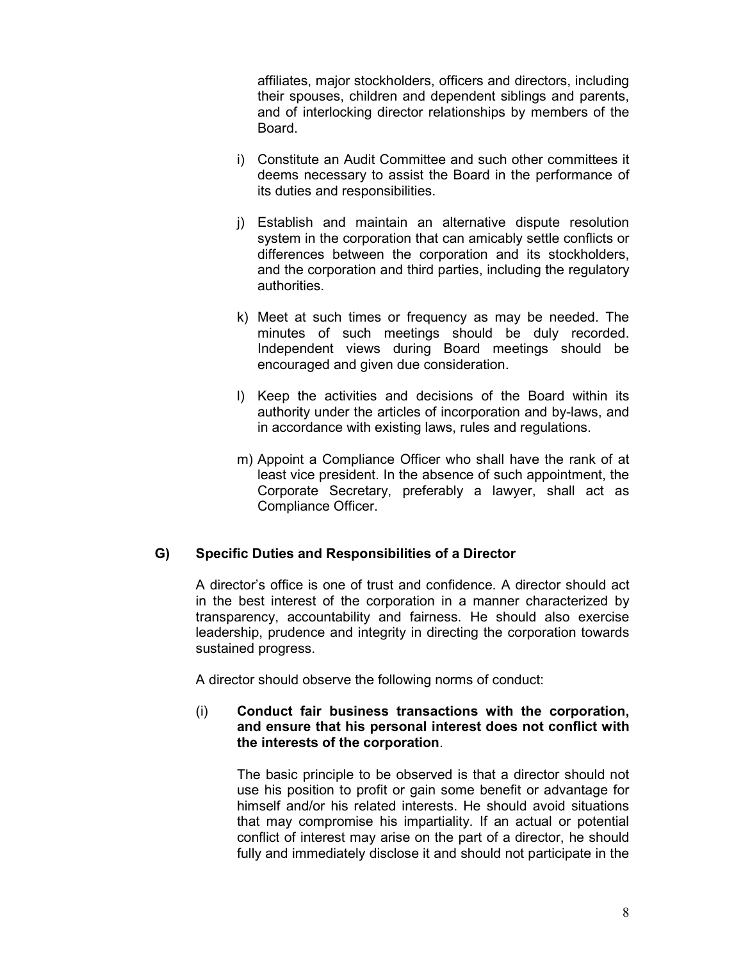affiliates, major stockholders, officers and directors, including their spouses, children and dependent siblings and parents, and of interlocking director relationships by members of the Board.

- i) Constitute an Audit Committee and such other committees it deems necessary to assist the Board in the performance of its duties and responsibilities.
- j) Establish and maintain an alternative dispute resolution system in the corporation that can amicably settle conflicts or differences between the corporation and its stockholders, and the corporation and third parties, including the regulatory authorities.
- k) Meet at such times or frequency as may be needed. The minutes of such meetings should be duly recorded. Independent views during Board meetings should be encouraged and given due consideration.
- l) Keep the activities and decisions of the Board within its authority under the articles of incorporation and by-laws, and in accordance with existing laws, rules and regulations.
- m) Appoint a Compliance Officer who shall have the rank of at least vice president. In the absence of such appointment, the Corporate Secretary, preferably a lawyer, shall act as Compliance Officer.

### **G) Specific Duties and Responsibilities of a Director**

 A director's office is one of trust and confidence. A director should act in the best interest of the corporation in a manner characterized by transparency, accountability and fairness. He should also exercise leadership, prudence and integrity in directing the corporation towards sustained progress.

A director should observe the following norms of conduct:

### (i) **Conduct fair business transactions with the corporation, and ensure that his personal interest does not conflict with the interests of the corporation**.

 The basic principle to be observed is that a director should not use his position to profit or gain some benefit or advantage for himself and/or his related interests. He should avoid situations that may compromise his impartiality. If an actual or potential conflict of interest may arise on the part of a director, he should fully and immediately disclose it and should not participate in the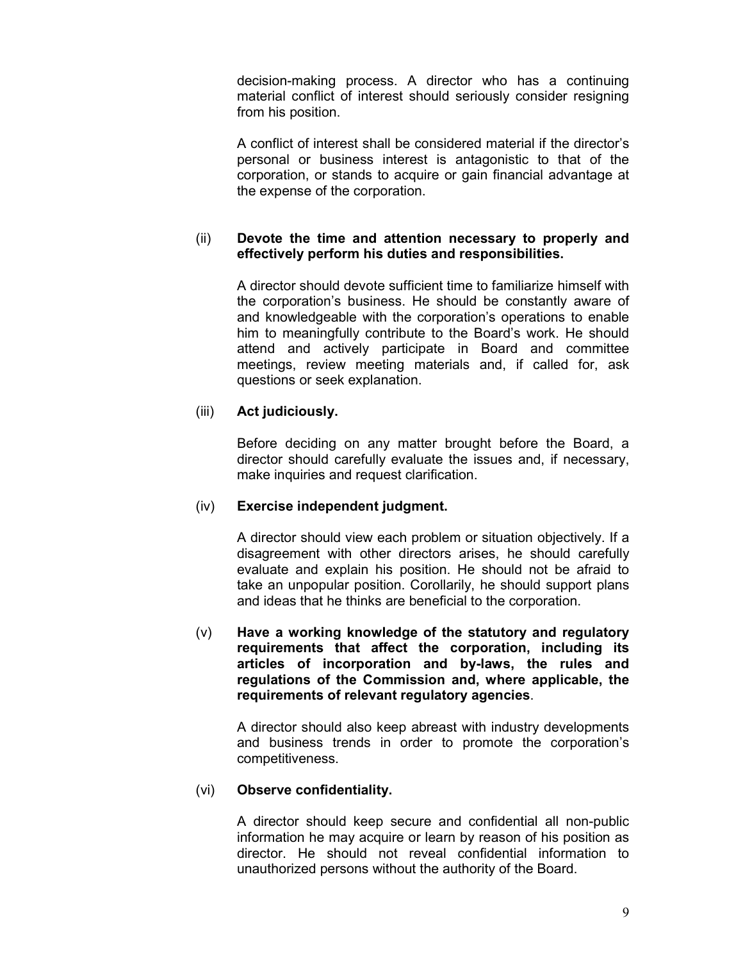decision-making process. A director who has a continuing material conflict of interest should seriously consider resigning from his position.

 A conflict of interest shall be considered material if the director's personal or business interest is antagonistic to that of the corporation, or stands to acquire or gain financial advantage at the expense of the corporation.

### (ii) **Devote the time and attention necessary to properly and effectively perform his duties and responsibilities.**

 A director should devote sufficient time to familiarize himself with the corporation's business. He should be constantly aware of and knowledgeable with the corporation's operations to enable him to meaningfully contribute to the Board's work. He should attend and actively participate in Board and committee meetings, review meeting materials and, if called for, ask questions or seek explanation.

## (iii) **Act judiciously.**

Before deciding on any matter brought before the Board, a director should carefully evaluate the issues and, if necessary, make inquiries and request clarification.

### (iv) **Exercise independent judgment.**

A director should view each problem or situation objectively. If a disagreement with other directors arises, he should carefully evaluate and explain his position. He should not be afraid to take an unpopular position. Corollarily, he should support plans and ideas that he thinks are beneficial to the corporation.

(v) **Have a working knowledge of the statutory and regulatory requirements that affect the corporation, including its articles of incorporation and by-laws, the rules and regulations of the Commission and, where applicable, the requirements of relevant regulatory agencies**.

 A director should also keep abreast with industry developments and business trends in order to promote the corporation's competitiveness.

### (vi) **Observe confidentiality.**

A director should keep secure and confidential all non-public information he may acquire or learn by reason of his position as director. He should not reveal confidential information to unauthorized persons without the authority of the Board.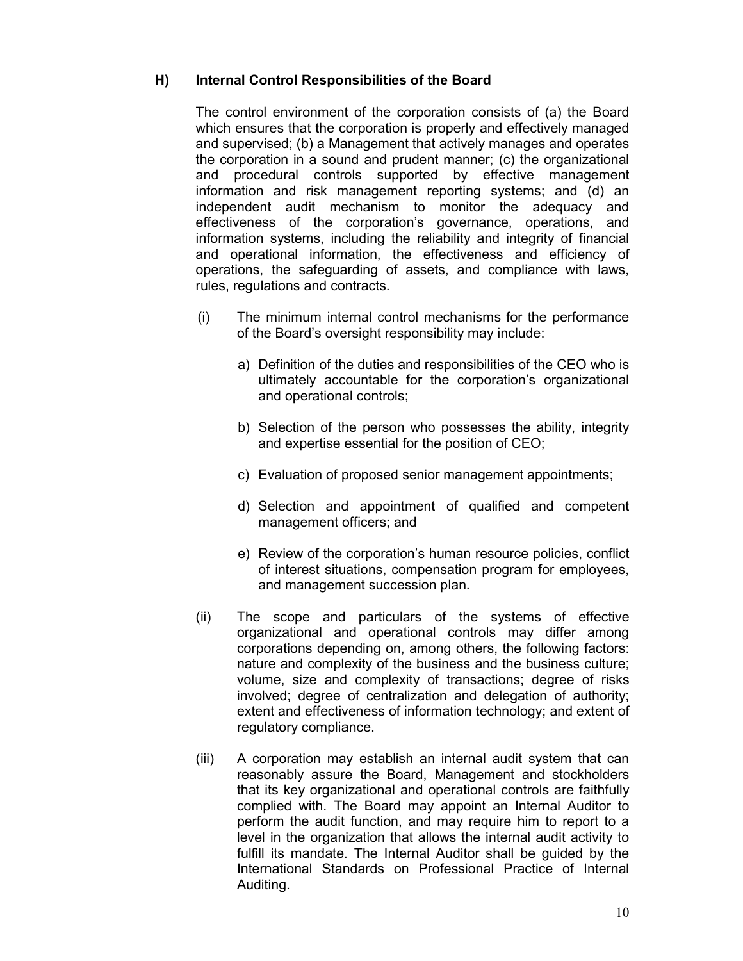## **H) Internal Control Responsibilities of the Board**

The control environment of the corporation consists of (a) the Board which ensures that the corporation is properly and effectively managed and supervised; (b) a Management that actively manages and operates the corporation in a sound and prudent manner; (c) the organizational and procedural controls supported by effective management information and risk management reporting systems; and (d) an independent audit mechanism to monitor the adequacy and effectiveness of the corporation's governance, operations, and information systems, including the reliability and integrity of financial and operational information, the effectiveness and efficiency of operations, the safeguarding of assets, and compliance with laws, rules, regulations and contracts.

- (i) The minimum internal control mechanisms for the performance of the Board's oversight responsibility may include:
	- a) Definition of the duties and responsibilities of the CEO who is ultimately accountable for the corporation's organizational and operational controls;
	- b) Selection of the person who possesses the ability, integrity and expertise essential for the position of CEO;
	- c) Evaluation of proposed senior management appointments;
	- d) Selection and appointment of qualified and competent management officers; and
	- e) Review of the corporation's human resource policies, conflict of interest situations, compensation program for employees, and management succession plan.
- (ii) The scope and particulars of the systems of effective organizational and operational controls may differ among corporations depending on, among others, the following factors: nature and complexity of the business and the business culture; volume, size and complexity of transactions; degree of risks involved; degree of centralization and delegation of authority; extent and effectiveness of information technology; and extent of regulatory compliance.
- (iii) A corporation may establish an internal audit system that can reasonably assure the Board, Management and stockholders that its key organizational and operational controls are faithfully complied with. The Board may appoint an Internal Auditor to perform the audit function, and may require him to report to a level in the organization that allows the internal audit activity to fulfill its mandate. The Internal Auditor shall be guided by the International Standards on Professional Practice of Internal Auditing.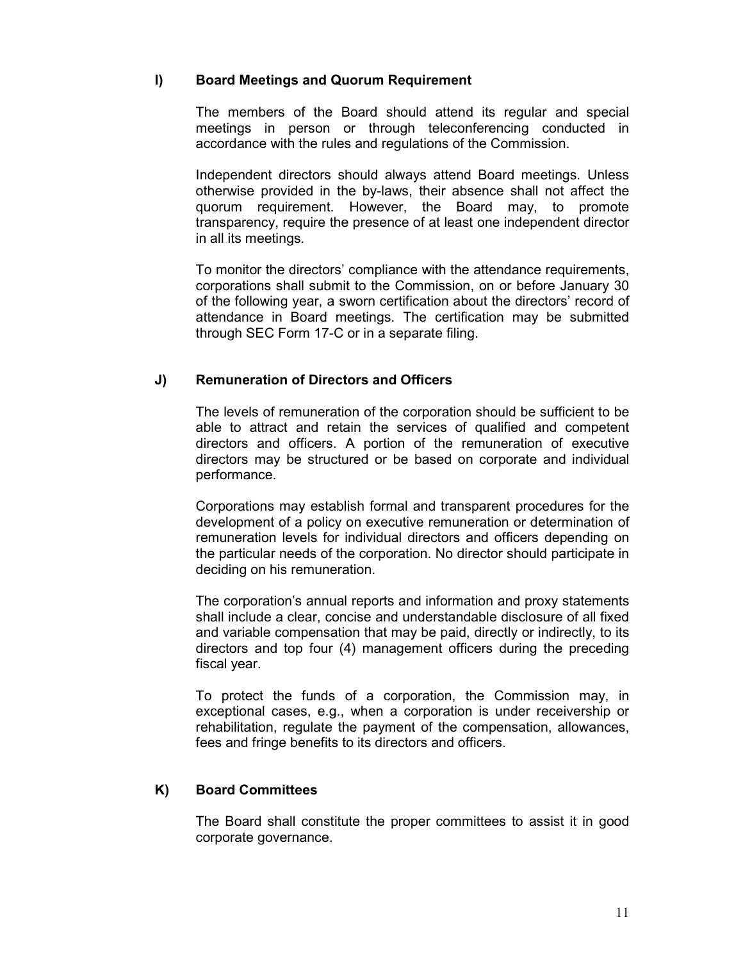## **I) Board Meetings and Quorum Requirement**

 The members of the Board should attend its regular and special meetings in person or through teleconferencing conducted in accordance with the rules and regulations of the Commission.

Independent directors should always attend Board meetings. Unless otherwise provided in the by-laws, their absence shall not affect the quorum requirement. However, the Board may, to promote transparency, require the presence of at least one independent director in all its meetings*.* 

 To monitor the directors' compliance with the attendance requirements, corporations shall submit to the Commission, on or before January 30 of the following year, a sworn certification about the directors' record of attendance in Board meetings. The certification may be submitted through SEC Form 17-C or in a separate filing.

## **J) Remuneration of Directors and Officers**

 The levels of remuneration of the corporation should be sufficient to be able to attract and retain the services of qualified and competent directors and officers. A portion of the remuneration of executive directors may be structured or be based on corporate and individual performance.

 Corporations may establish formal and transparent procedures for the development of a policy on executive remuneration or determination of remuneration levels for individual directors and officers depending on the particular needs of the corporation. No director should participate in deciding on his remuneration.

 The corporation's annual reports and information and proxy statements shall include a clear, concise and understandable disclosure of all fixed and variable compensation that may be paid, directly or indirectly, to its directors and top four (4) management officers during the preceding fiscal year.

 To protect the funds of a corporation, the Commission may, in exceptional cases, e.g., when a corporation is under receivership or rehabilitation, regulate the payment of the compensation, allowances, fees and fringe benefits to its directors and officers.

### **K) Board Committees**

The Board shall constitute the proper committees to assist it in good corporate governance.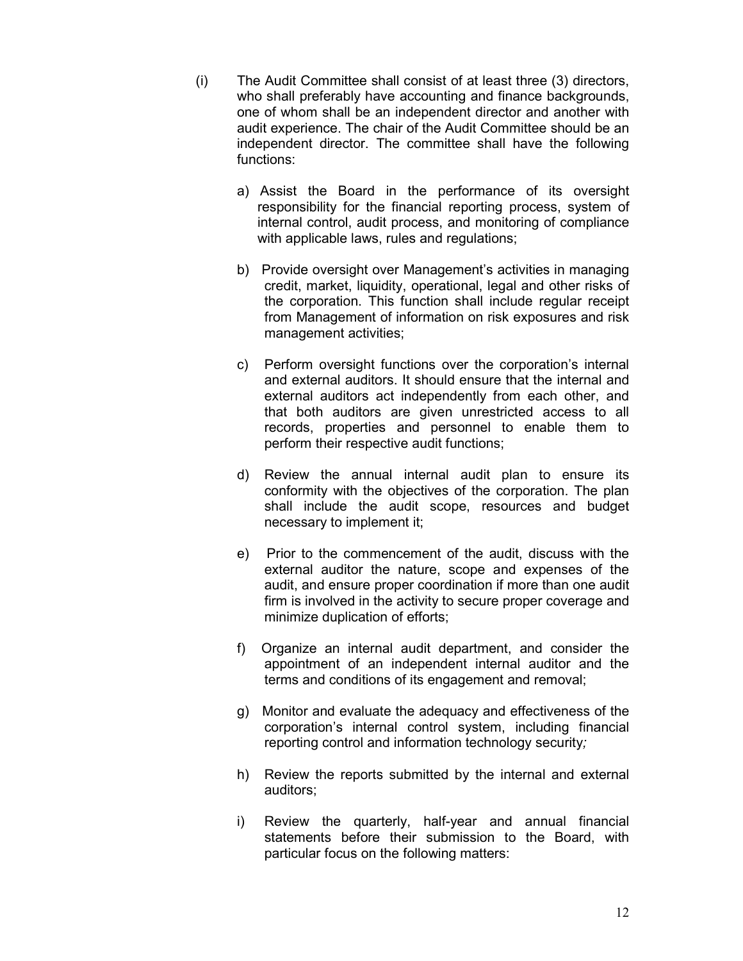- (i) The Audit Committee shall consist of at least three (3) directors, who shall preferably have accounting and finance backgrounds, one of whom shall be an independent director and another with audit experience. The chair of the Audit Committee should be an independent director. The committee shall have the following functions:
	- a) Assist the Board in the performance of its oversight responsibility for the financial reporting process, system of internal control, audit process, and monitoring of compliance with applicable laws, rules and regulations;
	- b) Provide oversight over Management's activities in managing credit, market, liquidity, operational, legal and other risks of the corporation. This function shall include regular receipt from Management of information on risk exposures and risk management activities;
	- c) Perform oversight functions over the corporation's internal and external auditors. It should ensure that the internal and external auditors act independently from each other, and that both auditors are given unrestricted access to all records, properties and personnel to enable them to perform their respective audit functions;
	- d) Review the annual internal audit plan to ensure its conformity with the objectives of the corporation. The plan shall include the audit scope, resources and budget necessary to implement it;
	- e) Prior to the commencement of the audit, discuss with the external auditor the nature, scope and expenses of the audit, and ensure proper coordination if more than one audit firm is involved in the activity to secure proper coverage and minimize duplication of efforts;
	- f) Organize an internal audit department, and consider the appointment of an independent internal auditor and the terms and conditions of its engagement and removal;
	- g) Monitor and evaluate the adequacy and effectiveness of the corporation's internal control system, including financial reporting control and information technology security*;*
	- h) Review the reports submitted by the internal and external auditors;
	- i) Review the quarterly, half-year and annual financial statements before their submission to the Board, with particular focus on the following matters: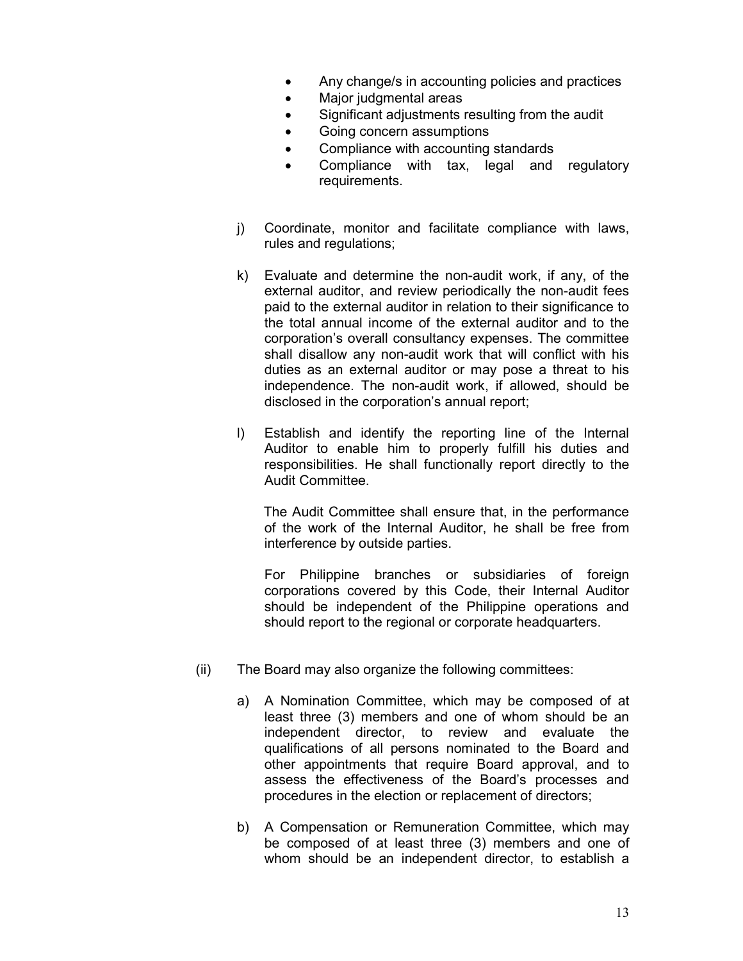- Any change/s in accounting policies and practices
- Major judgmental areas
- Significant adjustments resulting from the audit
- Going concern assumptions
- Compliance with accounting standards
- Compliance with tax, legal and regulatory requirements.
- j) Coordinate, monitor and facilitate compliance with laws, rules and regulations;
- k) Evaluate and determine the non-audit work, if any, of the external auditor, and review periodically the non-audit fees paid to the external auditor in relation to their significance to the total annual income of the external auditor and to the corporation's overall consultancy expenses. The committee shall disallow any non-audit work that will conflict with his duties as an external auditor or may pose a threat to his independence. The non-audit work, if allowed, should be disclosed in the corporation's annual report;
- l) Establish and identify the reporting line of the Internal Auditor to enable him to properly fulfill his duties and responsibilities. He shall functionally report directly to the Audit Committee.

 The Audit Committee shall ensure that, in the performance of the work of the Internal Auditor, he shall be free from interference by outside parties.

 For Philippine branches or subsidiaries of foreign corporations covered by this Code, their Internal Auditor should be independent of the Philippine operations and should report to the regional or corporate headquarters.

- (ii) The Board may also organize the following committees:
	- a) A Nomination Committee, which may be composed of at least three (3) members and one of whom should be an independent director, to review and evaluate the qualifications of all persons nominated to the Board and other appointments that require Board approval, and to assess the effectiveness of the Board's processes and procedures in the election or replacement of directors;
	- b) A Compensation or Remuneration Committee, which may be composed of at least three (3) members and one of whom should be an independent director, to establish a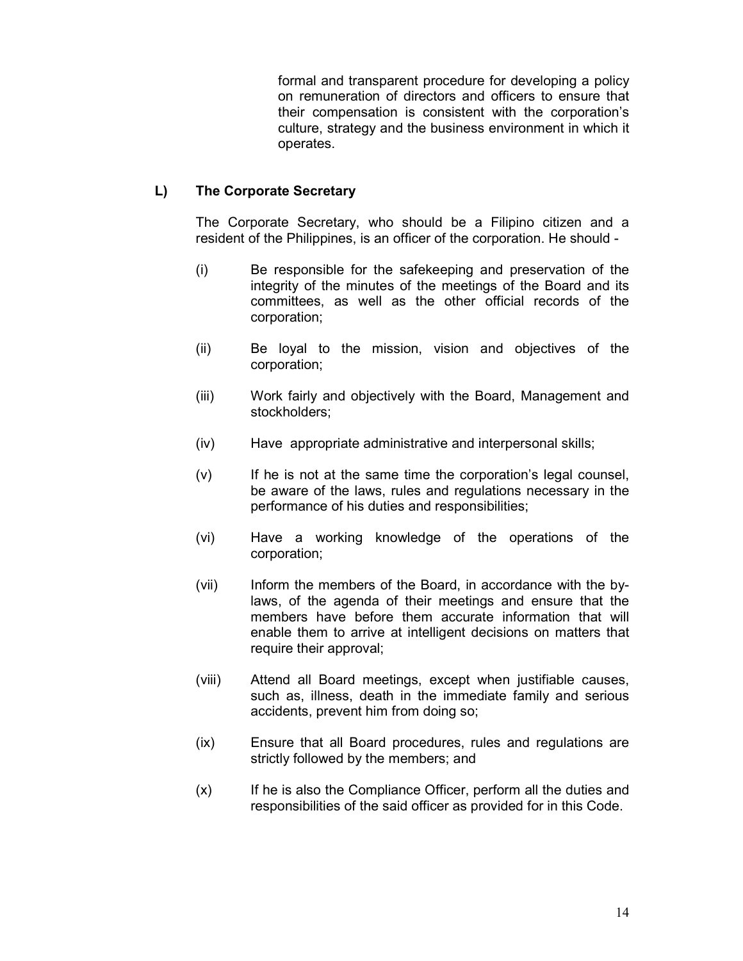formal and transparent procedure for developing a policy on remuneration of directors and officers to ensure that their compensation is consistent with the corporation's culture, strategy and the business environment in which it operates.

## **L) The Corporate Secretary**

The Corporate Secretary, who should be a Filipino citizen and a resident of the Philippines, is an officer of the corporation. He should -

- (i) Be responsible for the safekeeping and preservation of the integrity of the minutes of the meetings of the Board and its committees, as well as the other official records of the corporation;
- (ii) Be loyal to the mission, vision and objectives of the corporation;
- (iii) Work fairly and objectively with the Board, Management and stockholders;
- (iv) Have appropriate administrative and interpersonal skills;
- (v) If he is not at the same time the corporation's legal counsel, be aware of the laws, rules and regulations necessary in the performance of his duties and responsibilities;
- (vi) Have a working knowledge of the operations of the corporation;
- (vii) Inform the members of the Board, in accordance with the bylaws, of the agenda of their meetings and ensure that the members have before them accurate information that will enable them to arrive at intelligent decisions on matters that require their approval;
- (viii) Attend all Board meetings, except when justifiable causes, such as, illness, death in the immediate family and serious accidents, prevent him from doing so;
- (ix) Ensure that all Board procedures, rules and regulations are strictly followed by the members; and
- (x) If he is also the Compliance Officer, perform all the duties and responsibilities of the said officer as provided for in this Code.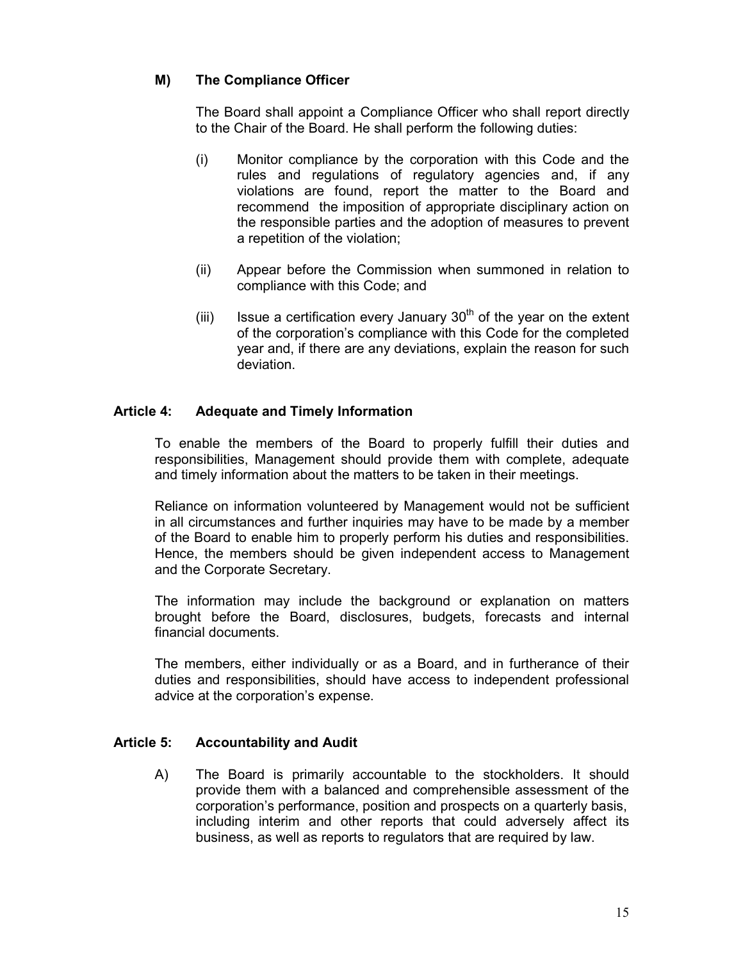## **M) The Compliance Officer**

 The Board shall appoint a Compliance Officer who shall report directly to the Chair of the Board. He shall perform the following duties:

- (i) Monitor compliance by the corporation with this Code and the rules and regulations of regulatory agencies and, if any violations are found, report the matter to the Board and recommend the imposition of appropriate disciplinary action on the responsible parties and the adoption of measures to prevent a repetition of the violation;
- (ii) Appear before the Commission when summoned in relation to compliance with this Code; and
- (iii) Issue a certification every January  $30<sup>th</sup>$  of the year on the extent of the corporation's compliance with this Code for the completed year and, if there are any deviations, explain the reason for such deviation.

## **Article 4: Adequate and Timely Information**

To enable the members of the Board to properly fulfill their duties and responsibilities, Management should provide them with complete, adequate and timely information about the matters to be taken in their meetings.

 Reliance on information volunteered by Management would not be sufficient in all circumstances and further inquiries may have to be made by a member of the Board to enable him to properly perform his duties and responsibilities. Hence, the members should be given independent access to Management and the Corporate Secretary.

 The information may include the background or explanation on matters brought before the Board, disclosures, budgets, forecasts and internal financial documents.

The members, either individually or as a Board, and in furtherance of their duties and responsibilities, should have access to independent professional advice at the corporation's expense.

### **Article 5: Accountability and Audit**

A) The Board is primarily accountable to the stockholders. It should provide them with a balanced and comprehensible assessment of the corporation's performance, position and prospects on a quarterly basis, including interim and other reports that could adversely affect its business, as well as reports to regulators that are required by law.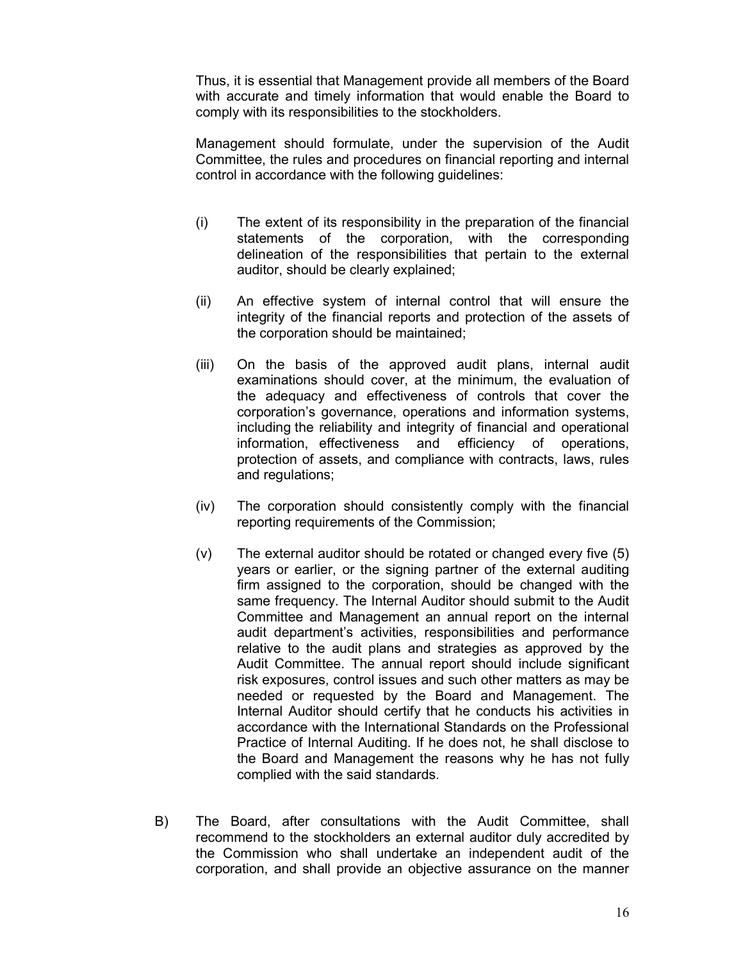Thus, it is essential that Management provide all members of the Board with accurate and timely information that would enable the Board to comply with its responsibilities to the stockholders.

 Management should formulate, under the supervision of the Audit Committee, the rules and procedures on financial reporting and internal control in accordance with the following guidelines:

- (i) The extent of its responsibility in the preparation of the financial statements of the corporation, with the corresponding delineation of the responsibilities that pertain to the external auditor, should be clearly explained;
- (ii) An effective system of internal control that will ensure the integrity of the financial reports and protection of the assets of the corporation should be maintained;
- (iii) On the basis of the approved audit plans, internal audit examinations should cover, at the minimum, the evaluation of the adequacy and effectiveness of controls that cover the corporation's governance, operations and information systems, including the reliability and integrity of financial and operational information, effectiveness and efficiency of operations, protection of assets, and compliance with contracts, laws, rules and regulations;
- (iv) The corporation should consistently comply with the financial reporting requirements of the Commission;
- (v) The external auditor should be rotated or changed every five (5) years or earlier, or the signing partner of the external auditing firm assigned to the corporation, should be changed with the same frequency. The Internal Auditor should submit to the Audit Committee and Management an annual report on the internal audit department's activities, responsibilities and performance relative to the audit plans and strategies as approved by the Audit Committee. The annual report should include significant risk exposures, control issues and such other matters as may be needed or requested by the Board and Management. The Internal Auditor should certify that he conducts his activities in accordance with the International Standards on the Professional Practice of Internal Auditing. If he does not, he shall disclose to the Board and Management the reasons why he has not fully complied with the said standards.
- B) The Board, after consultations with the Audit Committee, shall recommend to the stockholders an external auditor duly accredited by the Commission who shall undertake an independent audit of the corporation, and shall provide an objective assurance on the manner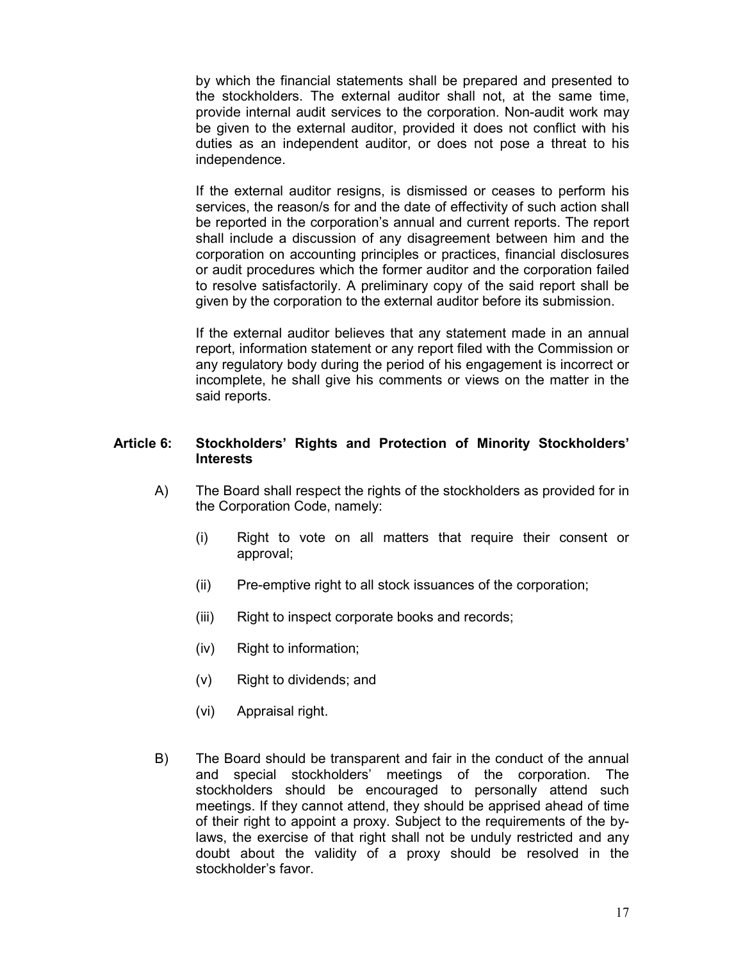by which the financial statements shall be prepared and presented to the stockholders. The external auditor shall not, at the same time, provide internal audit services to the corporation. Non-audit work may be given to the external auditor, provided it does not conflict with his duties as an independent auditor, or does not pose a threat to his independence.

 If the external auditor resigns, is dismissed or ceases to perform his services, the reason/s for and the date of effectivity of such action shall be reported in the corporation's annual and current reports. The report shall include a discussion of any disagreement between him and the corporation on accounting principles or practices, financial disclosures or audit procedures which the former auditor and the corporation failed to resolve satisfactorily. A preliminary copy of the said report shall be given by the corporation to the external auditor before its submission.

 If the external auditor believes that any statement made in an annual report, information statement or any report filed with the Commission or any regulatory body during the period of his engagement is incorrect or incomplete, he shall give his comments or views on the matter in the said reports.

#### **Article 6: Stockholders' Rights and Protection of Minority Stockholders' Interests**

- A) The Board shall respect the rights of the stockholders as provided for in the Corporation Code, namely:
	- (i) Right to vote on all matters that require their consent or approval;
	- (ii) Pre-emptive right to all stock issuances of the corporation;
	- (iii) Right to inspect corporate books and records;
	- (iv) Right to information;
	- (v) Right to dividends; and
	- (vi) Appraisal right.
- B) The Board should be transparent and fair in the conduct of the annual and special stockholders' meetings of the corporation. The stockholders should be encouraged to personally attend such meetings. If they cannot attend, they should be apprised ahead of time of their right to appoint a proxy. Subject to the requirements of the bylaws, the exercise of that right shall not be unduly restricted and any doubt about the validity of a proxy should be resolved in the stockholder's favor.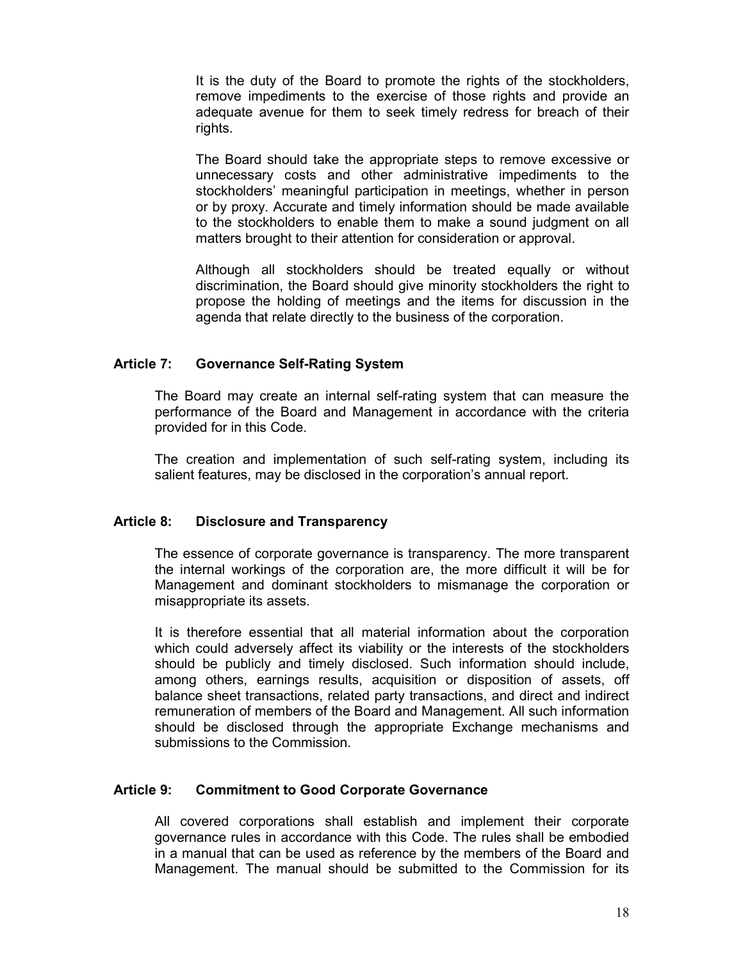It is the duty of the Board to promote the rights of the stockholders, remove impediments to the exercise of those rights and provide an adequate avenue for them to seek timely redress for breach of their rights.

 The Board should take the appropriate steps to remove excessive or unnecessary costs and other administrative impediments to the stockholders' meaningful participation in meetings, whether in person or by proxy. Accurate and timely information should be made available to the stockholders to enable them to make a sound judgment on all matters brought to their attention for consideration or approval.

 Although all stockholders should be treated equally or without discrimination, the Board should give minority stockholders the right to propose the holding of meetings and the items for discussion in the agenda that relate directly to the business of the corporation.

### **Article 7: Governance Self-Rating System**

The Board may create an internal self-rating system that can measure the performance of the Board and Management in accordance with the criteria provided for in this Code.

 The creation and implementation of such self-rating system, including its salient features, may be disclosed in the corporation's annual report.

#### **Article 8: Disclosure and Transparency**

 The essence of corporate governance is transparency. The more transparent the internal workings of the corporation are, the more difficult it will be for Management and dominant stockholders to mismanage the corporation or misappropriate its assets.

 It is therefore essential that all material information about the corporation which could adversely affect its viability or the interests of the stockholders should be publicly and timely disclosed. Such information should include, among others, earnings results, acquisition or disposition of assets, off balance sheet transactions, related party transactions, and direct and indirect remuneration of members of the Board and Management. All such information should be disclosed through the appropriate Exchange mechanisms and submissions to the Commission.

### **Article 9: Commitment to Good Corporate Governance**

All covered corporations shall establish and implement their corporate governance rules in accordance with this Code. The rules shall be embodied in a manual that can be used as reference by the members of the Board and Management. The manual should be submitted to the Commission for its